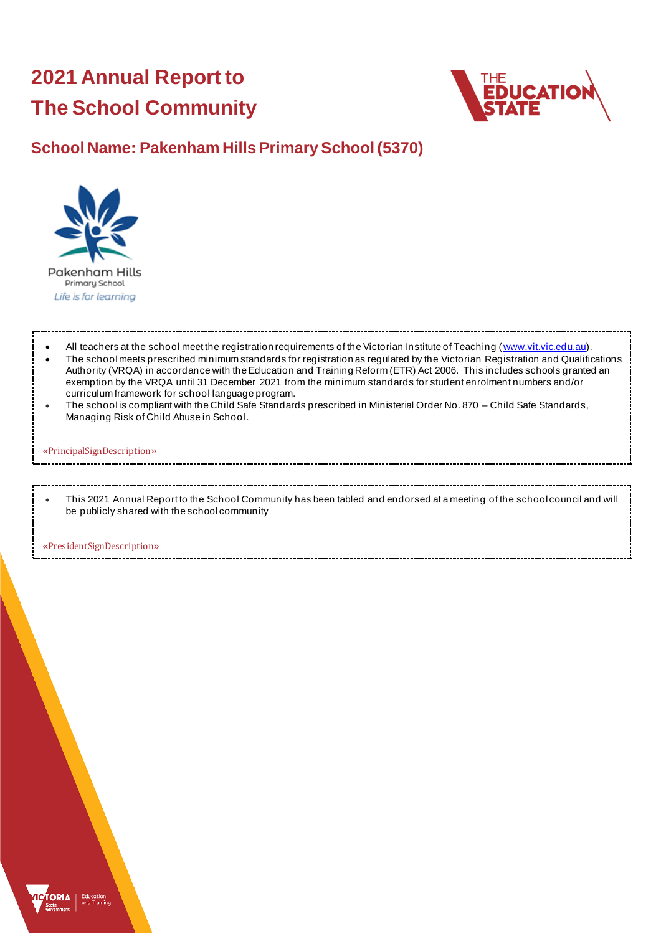# **2021 Annual Report to The School Community**



### **School Name: Pakenham Hills Primary School (5370)**



All teachers at the school meet the registration requirements of the Victorian Institute of Teaching ([www.vit.vic.edu.au](https://www.vit.vic.edu.au/)).

- The school meets prescribed minimum standards for registration as regulated by the Victorian Registration and Qualifications Authority (VRQA) in accordance with the Education and Training Reform (ETR) Act 2006. This includes schools granted an exemption by the VRQA until 31 December 2021 from the minimum standards for student enrolment numbers and/or curriculum framework for school language program.
- The school is compliant with the Child Safe Standards prescribed in Ministerial Order No. 870 Child Safe Standards, Managing Risk of Child Abuse in School.

#### «PrincipalSignDescription»

• This 2021 Annual Report to the School Community has been tabled and endorsed at a meeting of the school council and will be publicly shared with the school community

«PresidentSignDescription»

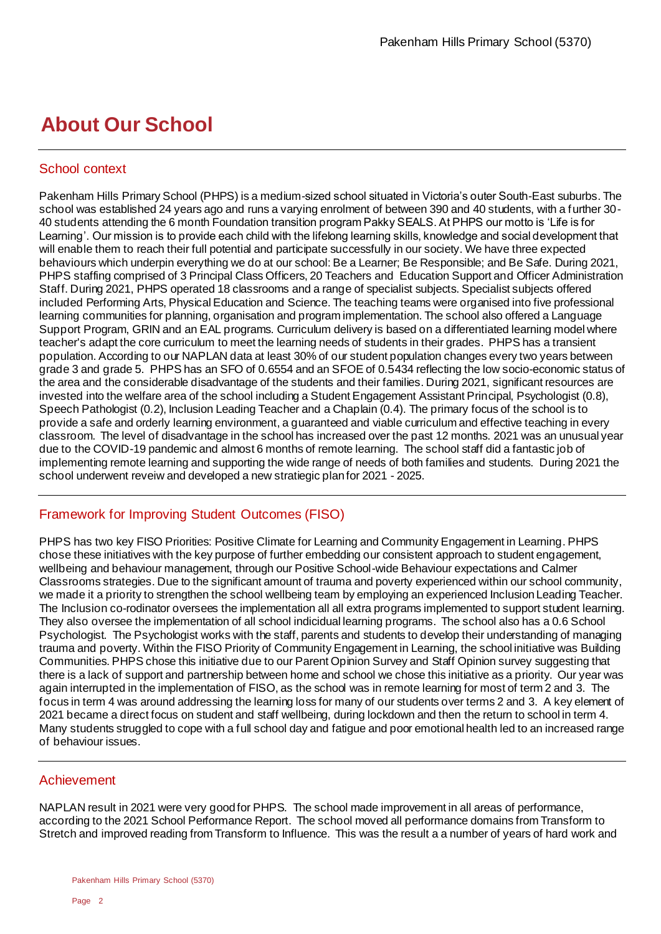## **About Our School**

#### School context

Pakenham Hills Primary School (PHPS) is a medium-sized school situated in Victoria's outer South-East suburbs. The school was established 24 years ago and runs a varying enrolment of between 390 and 40 students, with a further 30- 40 students attending the 6 month Foundation transition program Pakky SEALS. At PHPS our motto is 'Life is for Learning'. Our mission is to provide each child with the lifelong learning skills, knowledge and social development that will enable them to reach their full potential and participate successfully in our society. We have three expected behaviours which underpin everything we do at our school: Be a Learner; Be Responsible; and Be Safe. During 2021, PHPS staffing comprised of 3 Principal Class Officers, 20 Teachers and Education Support and Officer Administration Staff. During 2021, PHPS operated 18 classrooms and a range of specialist subjects. Specialist subjects offered included Performing Arts, Physical Education and Science. The teaching teams were organised into five professional learning communities for planning, organisation and program implementation. The school also offered a Language Support Program, GRIN and an EAL programs. Curriculum delivery is based on a differentiated learning model where teacher's adapt the core curriculum to meet the learning needs of students in their grades. PHPS has a transient population. According to our NAPLAN data at least 30% of our student population changes every two years between grade 3 and grade 5. PHPS has an SFO of 0.6554 and an SFOE of 0.5434 reflecting the low socio-economic status of the area and the considerable disadvantage of the students and their families. During 2021, significant resources are invested into the welfare area of the school including a Student Engagement Assistant Principal, Psychologist (0.8), Speech Pathologist (0.2), Inclusion Leading Teacher and a Chaplain (0.4). The primary focus of the school is to provide a safe and orderly learning environment, a guaranteed and viable curriculum and effective teaching in every classroom. The level of disadvantage in the school has increased over the past 12 months. 2021 was an unusual year due to the COVID-19 pandemic and almost 6 months of remote learning. The school staff did a fantastic job of implementing remote learning and supporting the wide range of needs of both families and students. During 2021 the school underwent reveiw and developed a new stratiegic plan for 2021 - 2025.

### Framework for Improving Student Outcomes (FISO)

PHPS has two key FISO Priorities: Positive Climate for Learning and Community Engagement in Learning. PHPS chose these initiatives with the key purpose of further embedding our consistent approach to student engagement, wellbeing and behaviour management, through our Positive School-wide Behaviour expectations and Calmer Classrooms strategies. Due to the significant amount of trauma and poverty experienced within our school community, we made it a priority to strengthen the school wellbeing team by employing an experienced Inclusion Leading Teacher. The Inclusion co-rodinator oversees the implementation all all extra programs implemented to support student learning. They also oversee the implementation of all school indicidual learning programs. The school also has a 0.6 School Psychologist. The Psychologist works with the staff, parents and students to develop their understanding of managing trauma and poverty. Within the FISO Priority of Community Engagement in Learning, the school initiative was Building Communities. PHPS chose this initiative due to our Parent Opinion Survey and Staff Opinion survey suggesting that there is a lack of support and partnership between home and school we chose this initiative as a priority. Our year was again interrupted in the implementation of FISO, as the school was in remote learning for most of term 2 and 3. The focus in term 4 was around addressing the learning loss for many of our students over terms 2 and 3. A key element of 2021 became a direct focus on student and staff wellbeing, during lockdown and then the return to school in term 4. Many students struggled to cope with a full school day and fatigue and poor emotional health led to an increased range of behaviour issues.

#### Achievement

NAPLAN result in 2021 were very good for PHPS. The school made improvement in all areas of performance, according to the 2021 School Performance Report. The school moved all performance domains from Transform to Stretch and improved reading from Transform to Influence. This was the result a a number of years of hard work and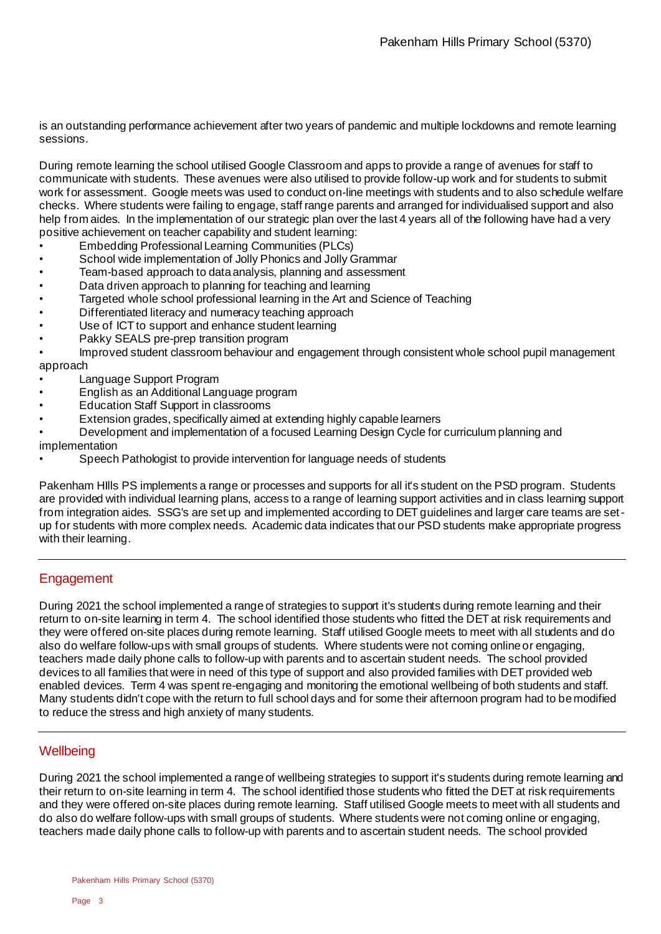is an outstanding performance achievement after two years of pandemic and multiple lockdowns and remote learning sessions.

During remote learning the school utilised Google Classroom and apps to provide a range of avenues for staff to communicate with students. These avenues were also utilised to provide follow-up work and for students to submit work for assessment. Google meets was used to conduct on-line meetings with students and to also schedule welfare checks. Where students were failing to engage, staff range parents and arranged for individualised support and also help from aides. In the implementation of our strategic plan over the last 4 years all of the following have had a very positive achievement on teacher capability and student learning:

- Embedding Professional Learning Communities (PLCs)
- School wide implementation of Jolly Phonics and Jolly Grammar
- Team-based approach to data analysis, planning and assessment
- Data driven approach to planning for teaching and learning
- Targeted whole school professional learning in the Art and Science of Teaching
- Differentiated literacy and numeracy teaching approach
- Use of ICT to support and enhance student learning
- Pakky SEALS pre-prep transition program

• Improved student classroom behaviour and engagement through consistent whole school pupil management approach

- Language Support Program
- English as an Additional Language program
- Education Staff Support in classrooms
- Extension grades, specifically aimed at extending highly capable learners
- Development and implementation of a focused Learning Design Cycle for curriculum planning and

implementation

• Speech Pathologist to provide intervention for language needs of students

Pakenham HIlls PS implements a range or processes and supports for all it's student on the PSD program. Students are provided with individual learning plans, access to a range of learning support activities and in class learning support from integration aides. SSG's are set up and implemented according to DET guidelines and larger care teams are setup for students with more complex needs. Academic data indicates that our PSD students make appropriate progress with their learning.

#### **Engagement**

During 2021 the school implemented a range of strategies to support it's students during remote learning and their return to on-site learning in term 4. The school identified those students who fitted the DET at risk requirements and they were offered on-site places during remote learning. Staff utilised Google meets to meet with all students and do also do welfare follow-ups with small groups of students. Where students were not coming online or engaging, teachers made daily phone calls to follow-up with parents and to ascertain student needs. The school provided devices to all families that were in need of this type of support and also provided families with DET provided web enabled devices. Term 4 was spent re-engaging and monitoring the emotional wellbeing of both students and staff. Many students didn't cope with the return to full school days and for some their afternoon program had to be modified to reduce the stress and high anxiety of many students.

#### **Wellbeing**

During 2021 the school implemented a range of wellbeing strategies to support it's students during remote learning and their return to on-site learning in term 4. The school identified those students who fitted the DET at risk requirements and they were offered on-site places during remote learning. Staff utilised Google meets to meet with all students and do also do welfare follow-ups with small groups of students. Where students were not coming online or engaging, teachers made daily phone calls to follow-up with parents and to ascertain student needs. The school provided